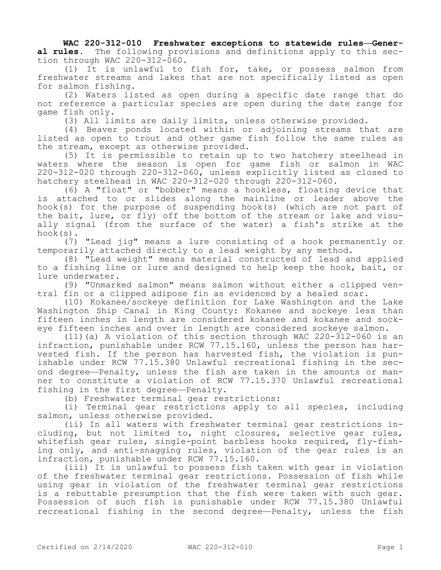**WAC 220-312-010 Freshwater exceptions to statewide rules—General rules.** The following provisions and definitions apply to this section through WAC 220-312-060.

(1) It is unlawful to fish for, take, or possess salmon from freshwater streams and lakes that are not specifically listed as open for salmon fishing.

(2) Waters listed as open during a specific date range that do not reference a particular species are open during the date range for game fish only.

(3) All limits are daily limits, unless otherwise provided.

(4) Beaver ponds located within or adjoining streams that are listed as open to trout and other game fish follow the same rules as the stream, except as otherwise provided.

(5) It is permissible to retain up to two hatchery steelhead in waters where the season is open for game fish or salmon in WAC 220-312-020 through 220-312-060, unless explicitly listed as closed to hatchery steelhead in WAC 220-312-020 through 220-312-060.

(6) A "float" or "bobber" means a hookless, floating device that is attached to or slides along the mainline or leader above the hook(s) for the purpose of suspending hook(s) (which are not part of the bait, lure, or fly) off the bottom of the stream or lake and visually signal (from the surface of the water) a fish's strike at the hook(s).

(7) "Lead jig" means a lure consisting of a hook permanently or temporarily attached directly to a lead weight by any method.

(8) "Lead weight" means material constructed of lead and applied to a fishing line or lure and designed to help keep the hook, bait, or lure underwater.

(9) "Unmarked salmon" means salmon without either a clipped ventral fin or a clipped adipose fin as evidenced by a healed scar.

(10) Kokanee/sockeye definition for Lake Washington and the Lake Washington Ship Canal in King County: Kokanee and sockeye less than fifteen inches in length are considered kokanee and kokanee and sockeye fifteen inches and over in length are considered sockeye salmon.

(11)(a) A violation of this section through WAC 220-312-060 is an infraction, punishable under RCW 77.15.160, unless the person has harvested fish. If the person has harvested fish, the violation is punishable under RCW 77.15.380 Unlawful recreational fishing in the second degree—Penalty, unless the fish are taken in the amounts or manner to constitute a violation of RCW 77.15.370 Unlawful recreational fishing in the first degree—Penalty.

(b) Freshwater terminal gear restrictions:

(i) Terminal gear restrictions apply to all species, including salmon, unless otherwise provided.

(ii) In all waters with freshwater terminal gear restrictions including, but not limited to, night closures, selective gear rules, whitefish gear rules, single-point barbless hooks required, fly-fishing only, and anti-snagging rules, violation of the gear rules is an infraction, punishable under RCW 77.15.160.

(iii) It is unlawful to possess fish taken with gear in violation of the freshwater terminal gear restrictions. Possession of fish while using gear in violation of the freshwater terminal gear restrictions is a rebuttable presumption that the fish were taken with such gear. Possession of such fish is punishable under RCW 77.15.380 Unlawful recreational fishing in the second degree—Penalty, unless the fish